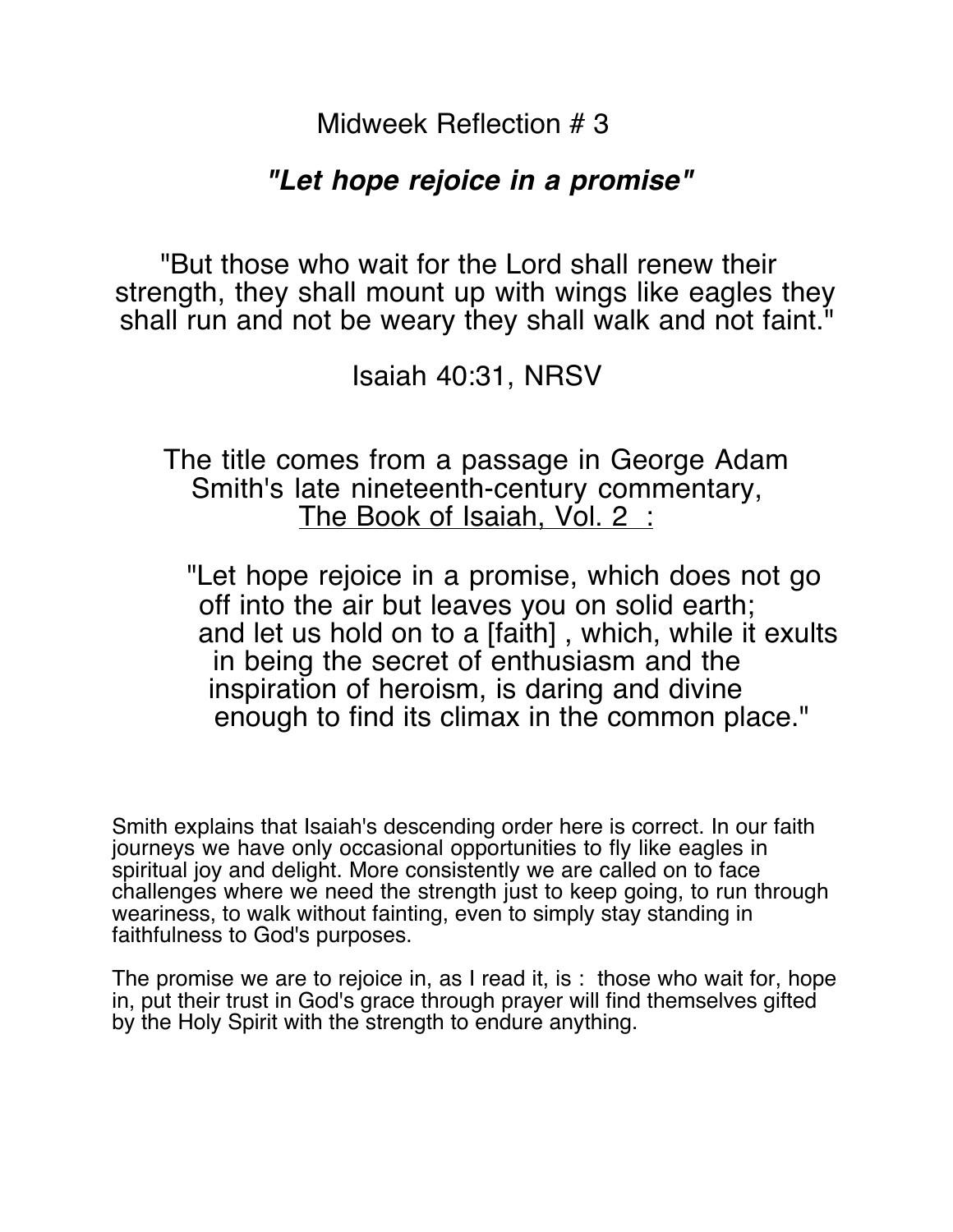Midweek Reflection # 3

## **"Let hope rejoice in a promise"**

"But those who wait for the Lord shall renew their strength, they shall mount up with wings like eagles they shall run and not be weary they shall walk and not faint."<br>Isaiah 40:31, NRSV

 The title comes from a passage in George Adam Smith's late nineteenth-century commentary, The Book of Isaiah, Vol. 2 :

"Let hope rejoice in a promise, which does not go off into the air but leaves you on solid earth; and let us hold on to a [faith] , which, while it exults in being the secret of enthusiasm and the inspiration of heroism, is daring and divine enough to find its climax in the common place."

Smith explains that Isaiah's descending order here is correct. In our faith journeys we have only occasional opportunities to fly like eagles in spiritual joy and delight. More consistently we are called on to face challenges where we need the strength just to keep going, to run through weariness, to walk without fainting, even to simply stay standing in faithfulness to God's purposes.

The promise we are to rejoice in, as I read it, is : those who wait for, hope in, put their trust in God's grace through prayer will find themselves gifted by the Holy Spirit with the strength to endure anything.